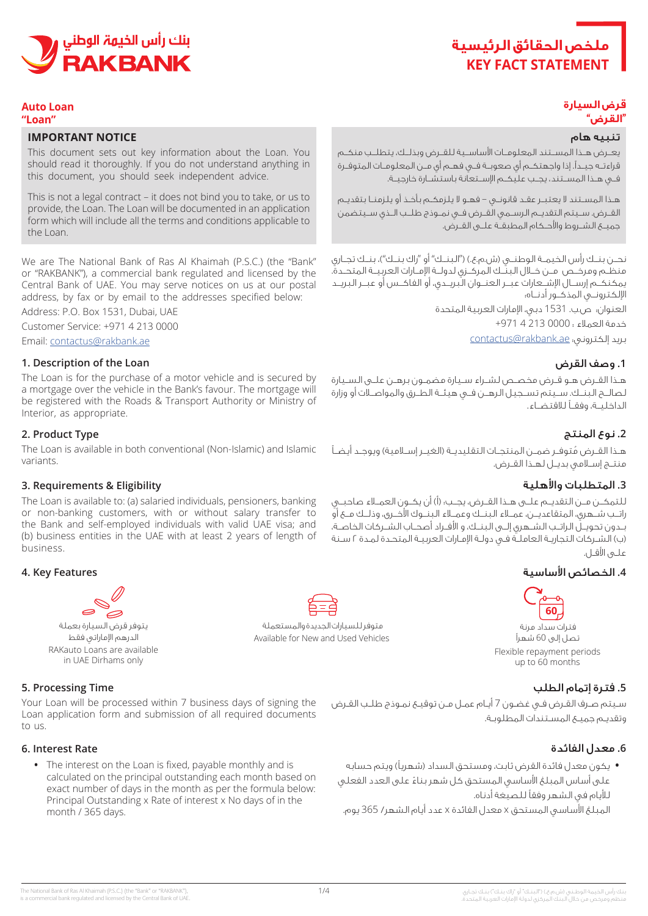# **ملخص الحقائق الرئيسية KEY FACT STATEMENT**



# **Auto** Loan

## **"Loan"**

## **IMPORTANT NOTICE**

This document sets out key information about the Loan. You should read it thoroughly. If you do not understand anything in this document, you should seek independent advice.

This is not a legal contract – it does not bind you to take, or us to provide, the Loan. The Loan will be documented in an application form which will include all the terms and conditions applicable to the Loan.

We are The National Bank of Ras Al Khaimah (P.S.C.) (the "Bank" or "RAKBANK"), a commercial bank regulated and licensed by the Central Bank of UAE. You may serve notices on us at our postal address, by fax or by email to the addresses specified below:

Address: P.O. Box 1531, Dubai, UAE

Customer Service: +971 4 213 0000

Email: contactus@rakbank.ae

## **1. Description of the Loan**

The Loan is for the purchase of a motor vehicle and is secured by a mortgage over the vehicle in the Bank's favour. The mortgage will be registered with the Roads & Transport Authority or Ministry of Interior, as appropriate.

#### **2. Product Type**

The Loan is available in both conventional (Non-Islamic) and Islamic .variants

## **Eligibility & Requirements 3.**

The Loan is available to: (a) salaried individuals, pensioners, banking or non-banking customers, with or without salary transfer to the Bank and self-employed individuals with valid UAE visa; and (b) business entities in the UAE with at least 2 years of length of .business

#### **4. Key Features**

يتوفر قرض السيارة بعملة الدرهم الإماراتي فقط RAKauto Loans are available in UAE Dirhams only

#### **5. Processing Time**

Your Loan will be processed within 7 business days of signing the Loan application form and submission of all required documents to us

#### **6.** Interest Rate

• The interest on the Loan is fixed, payable monthly and is calculated on the principal outstanding each month based on exact number of days in the month as per the formula below: Principal Outstanding x Rate of interest x No days of in the month / 365 days.

#### **قرض السيارة "القرض"**

#### تنبيه هام

يعــرض هــذا المســتند المعلومــات األساســية للقــرض وبذلــك، يتطلــب منكــم قراءتــه جيــدًا. إذا واجهتكــم أي صعوبــة فــي فهــم أي مــن المعلومــات المتوفــرة فــي هــذا المســتند، يجــب عليكــم اإلســتعانة باستشــارة خارجيــة.

هــذا المســتند ال يعتبــر عقــد قانونــي – فهــو ال يلزمكــم بأخــذ أو يلزمنــا بتقديــم القــرض. ســيتم التقديــم الرســمي القــرض فــي نمــوذج طلــب الــذي ســيتضمن جميــع الشــروط واألحــكام المطبقــة علــى القــرض.

نحــن بـنــك رأس الخيمــة الـوطنـــى (ش.م.ع.) ("الـبـنــك" أو "راك بـنــك")، بـنــك تجــاري منظــم ومرخــص مــن خــال البنــك المركــزي لدولــة اإلمــارات العربيــة المتحــدة. يمكنكــم إرســال اإلشــعارات عبــر العنــوان البريــدي، أو الفاكــس أو عبــر البريــد اإللكترونــي المذكــور أدنــاه:

> العنوان: ص.ب. 1531 دبي، اإلمارات العربية المتحدة خدمة العمالء : 0000 213 4 +971

بريد إلكتروني: ae.rakbank@contactus

## **.1** وصف القرض

هــذا القــرض هــو قــرض مخصــص لشــراء ســيارة مضمــون برهــن علــى الســيارة لصالــح البنــك. ســيتم تســجيل الرهــن فــي هيئــة الطــرق والمواصــات أو وزارة الداخليــة، وفقــً لالقتضــاء.

## **.2** نوع المنتج

هــذا القــرض مُتوفــر ضمــن المنتجــات التقليديــة (الغيــر إســلامية) ويوجــد أيضــاً منتــج إســامي بديــل لهــذا القــرض.

## **.3** المتطلبات واألهلية

للتمكــن مــن التقديــم علــى هــذا القــرض، يجــب: )أ( أن يكــون العمــاء صاحبــي راتــب شــهري، المتقاعديــن، عمــاء البنــك وعمــاء البنــوك األخــرى، وذلــك مــع أو بــدون تحويــل الراتــب الشــهري إلــى البنــك، و األفــراد أصحــاب الشــركات الخاصــة، )ب( الشـركات التجاريـة العاملـة فـي دولـة اإلمـارات العربيـة المتحـدة لمـدة 2 سـنة علــــو، الأقــل.

## **.4** الخصائص األساسية



فترات سداد مرنة تصل إلى 60 شهر Flexible repayment periods up to 60 months

## **.5** فترة إتمام الطلب

سـيتم صـرف القـرض فـي غضـون 7 أيـام عمـل مـن توقيـع نمـوذج طلـب القـرض وتقديـم جميـع المسـتندات المطلوبـة.

## **.6** معدل الفائدة

• يكون معدل فائدة القرض ثابت، ومستحق السداد (شهرياً) ويتم حسابه على أساس المبلغ الأساسي المستحق كل شهر بناءً على العدد الفعلي لأليام في الشهر وفقًا للصيغة أدناه.

المبلغ األساسي المستحق x معدل الفائدة x عدد أيام الشهر/ 365 يوم.







متوفر للسيارات الجديدة والمستعملة Available for New and Used Vehicles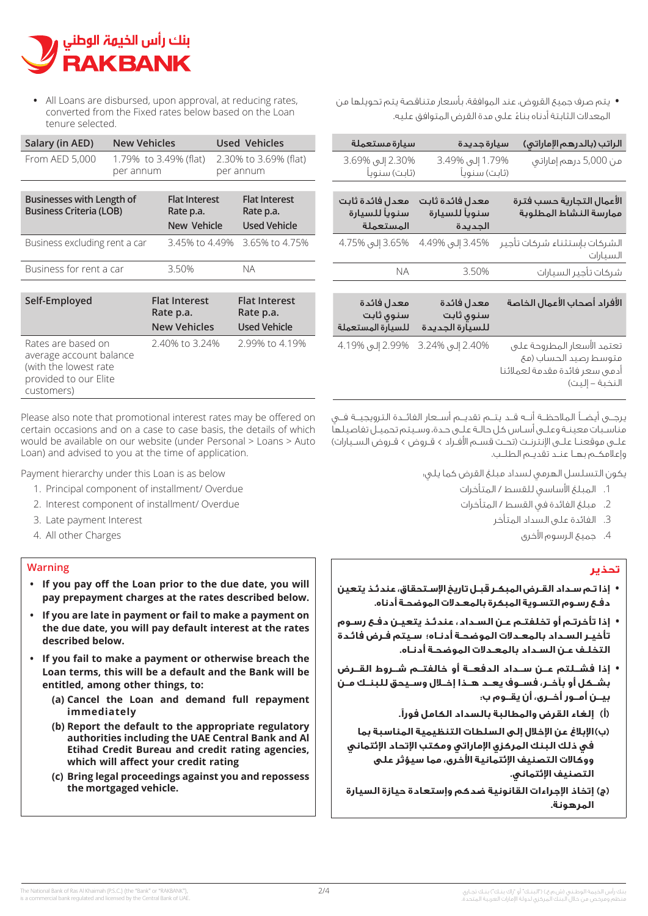

• All Loans are disbursed, upon approval, at reducing rates, converted from the Fixed rates below based on the Loan tenure selected.

| Salary (in AED)                                                                                               | <b>New Vehicles</b>                |  |                                    |  | <b>Used Vehicles</b>              |
|---------------------------------------------------------------------------------------------------------------|------------------------------------|--|------------------------------------|--|-----------------------------------|
| From AED 5,000                                                                                                | 1.79% to 3.49% (flat)<br>per annum |  | 2.30% to 3.69% (flat)<br>per annum |  |                                   |
|                                                                                                               |                                    |  |                                    |  |                                   |
| Businesses with Length of<br><b>Business Criteria (LOB)</b>                                                   |                                    |  | <b>Flat Interest</b><br>Rate p.a.  |  | <b>Flat Interest</b><br>Rate p.a. |
|                                                                                                               |                                    |  | New Vehicle                        |  | <b>Used Vehicle</b>               |
| Business excluding rent a car                                                                                 |                                    |  | 3.45% to 4.49%                     |  | 3.65% to 4.75%                    |
| Business for rent a car                                                                                       |                                    |  | 3.50%                              |  | <b>NA</b>                         |
|                                                                                                               |                                    |  |                                    |  |                                   |
| Self-Employed                                                                                                 |                                    |  | <b>Flat Interest</b><br>Rate p.a.  |  | <b>Flat Interest</b><br>Rate p.a. |
|                                                                                                               |                                    |  | <b>New Vehicles</b>                |  | <b>Used Vehicle</b>               |
| Rates are based on<br>average account balance<br>(with the lowest rate<br>provided to our Elite<br>customers) |                                    |  | 2.40% to 3.24%                     |  | 2.99% to 4.19%                    |

Please also note that promotional interest rates may be offered on certain occasions and on a case to case basis, the details of which would be available on our website (under Personal > Loans > Auto Loan) and advised to you at the time of application.

Payment hierarchy under this Loan is as below

- 1. Principal component of installment/ Overdue
- 2. Interest component of installment/ Overdue
- 3. Late payment Interest
- 4. All other Charges

#### **Warning**

- **•** If you pay off the Loan prior to the due date, you will pay prepayment charges at the rates described below.
- **•** If you are late in payment or fail to make a payment on the due date, you will pay default interest at the rates described below.
- **•** If you fail to make a payment or otherwise breach the **Loan terms, this will be a default and the Bank will be** entitled, among other things, to:
	- **repayment full demand and Loan the Cancel) a( immediately**
	- **(b)** Report the default to the appropriate regulatory authorities including the UAE Central Bank and Al **Etihad Credit Bureau and credit rating agencies.** which will affect your credit rating
	- **(c) Bring legal proceedings against you and repossess** the mortgaged vehicle.

**•** يتم صرف جميع القروض، عند الموافقة، بأسعار متناقصة يتم تحويلها من المعدالت الثابتة أدناه بناء على مدة القرض المتوافق عليه. **أ** 

| سيارة مستعملة                                 | سيارة جديدة                                 | الراتب (بالدرهم الإماراتي)                                                                              |
|-----------------------------------------------|---------------------------------------------|---------------------------------------------------------------------------------------------------------|
| 2.30% إلى 3.69%<br>(ثابت) سنوياً              | 1.79% إلى 3.49%<br>(ثابت) سنوياً            | من 5,000 درهم إماراتبي                                                                                  |
| معدل فائدة ثابت<br>سنويأ للسيارة<br>المستعملة | معدل فائدة ثابت<br>سنويأ للسيارة<br>الجديدة | الأعمال التجارية حسب فترة<br>ممارسة النشاط المطلوبة                                                     |
| 3.65% إلى 4.75%                               | 3.45% إلى 4.49%                             | الشركات بإستثناء شركات تأجير<br>السيارات                                                                |
| ΝA                                            | 3.50%                                       | شركات تأجير السيارات                                                                                    |
| معدل فائدة<br>سنوى ثابت<br>للسيارة المستعملة  | معدل فائدة<br>سنوى ثابت<br>للسيارة الجديدة  | الأفراد أصحاب الأعمال الخاصة                                                                            |
| 2.99% إلى 4.19%                               | 2.40% إلى 3.24%                             | تعتمد الأسعار المطروحة علبى<br>متوسط رصيد الحساب (مئ<br>أدمى سعر فائدة مقدمة لعملائنا<br>النخبة – إليت) |

يرجــى أيضــً المالحظــة أنــه قــد يتــم تقديــم أســعار الفائــدة الترويجيــة فــي مناسـبات معينـة وعلـى أسـاس كل حالـة علـى حـدة، وسـيتم تحميـل تفاصيلها علـى موقعنـا علـى الإنترنـت (تحـت قسـم الأفـراد > قـروض > قـروض السـيارات) وإعالمكــم بهــا عنــد تقديــم الطلــب.

يكون التسلسل الهرمي لسداد مبلغ القرض كما يلي:

- .1 المبلغ األساسي للقسط / المتأخرات
- . مبلغ الفائدة في القسط / المتأخرات
	- . الفائدة على السداد المتأخر
		- .4 جميع الرسوم األخرى

# **تحذير**

- **• إذا تـم سـداد القـرض المبكـر قبـل تاريخ اإلسـتحقاق، عندئـذ يتعين دفـع رسـوم التسـوية المبكرة بالمعـدالت الموضحـة أدناه.**
- **• إذا تأخرتـم أو تخلفتـم عـن السـداد، عندئـذ يتعيـن دفـع رسـوم تأخيـر السـداد بالمعـدالت الموضحـة أدنـاه؛ سـيتم فـرض فائـدة التخلـف عـن السـداد بالمعـدالت الموضحـة أدنـاه.**
- **• إذا فشــلتم عــن ســداد الدفعــة أو خالفتــم شــروط القــرض بشــكل أو بآخــر، فســوف يعــد هــذا إخــال وســيحق للبنــك مــن بيــن أمــور أخــرى، أن يقــوم ب:**
	- **(أ إلغاء القرض والمطالبة بالسداد الكامل فورًا.**
	- **(ب)اإلبالغ عن اإلخالل إلى السلطات التنظيمية المناسبة بما في ذلك البنك المركزي اإلماراتي ومكتب اإلتحاد اإلئتماني ووكاالت التصنيف اإلئتمانية األخرى، مما سيؤثر على التصنيف اإلئتماني.**
- **(ج)إتخاذ اإلجراءات القانونية ضدكم وإستعادة حيازة السيارة المرهونة.**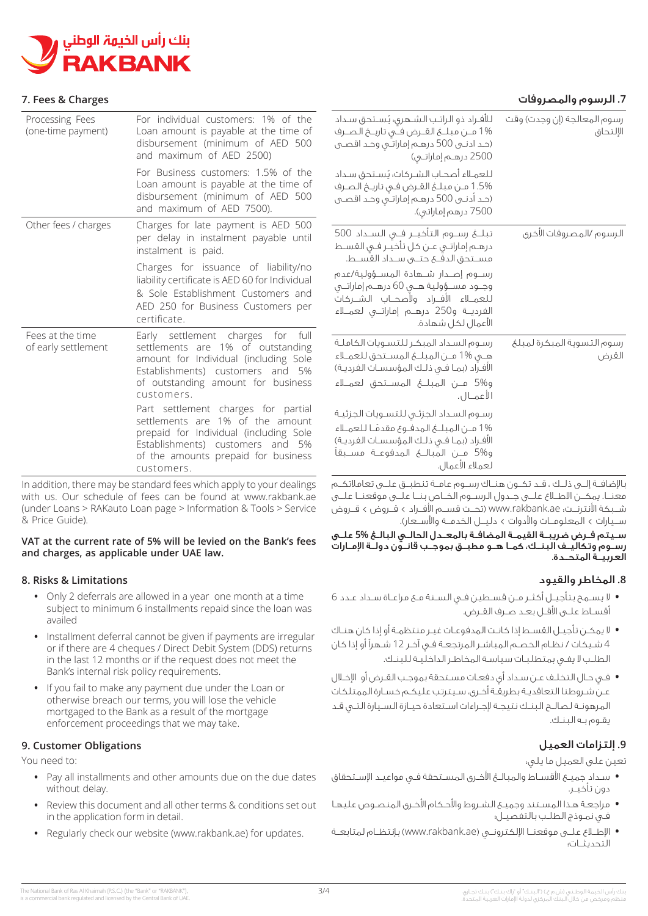

## **Charges & Fees 7.**

| ۰٫ انرسوم والمصروفات                    |                                                                                                                                                                                                                      |                                                                                                                                                                                                                          | . ΓΕΕΣ & CHAI KES                       |  |
|-----------------------------------------|----------------------------------------------------------------------------------------------------------------------------------------------------------------------------------------------------------------------|--------------------------------------------------------------------------------------------------------------------------------------------------------------------------------------------------------------------------|-----------------------------------------|--|
| رسوم المعالجة (إن وجدت) وقت<br>الإلتحاق | للأفـراد ذو الراتـب الـشـهري؛ يُسـتحق سـداد<br>(حد ادنــي 500 درهــم إماراتــي وحـد اقصــي<br>2500 درهــم إماراتــي)                                                                                                 | For individual customers: 1% of the<br>Loan amount is payable at the time of<br>disbursement (minimum of AED 500<br>and maximum of AED 2500)                                                                             | Processing Fees<br>(one-time payment)   |  |
|                                         | للعملاء أصحاب الشركات. يُستحق سداد<br>1.5% من مبلغ القرض فى تاريخ الصرف<br>(حـد أدنــي 500 درهــم إماراتــي وحـد اقـصــي<br>7500 درهم إماراتبي).                                                                     | For Business customers: 1.5% of the<br>Loan amount is payable at the time of<br>disbursement (minimum of AED 500<br>and maximum of AED 7500).                                                                            |                                         |  |
| الرسوم /المصروفات الأخرى                | درهـم إماراتـي عـن كل تأخيـر فـي القسـط<br>مسـتحق الدفــــ حتــــــى ســــداد القســـط.                                                                                                                              | Charges for late payment is AED 500<br>per delay in instalment payable until<br>instalment is paid.                                                                                                                      | Other fees / charges                    |  |
|                                         | رسيوم إصبدار شيهادة المسيؤولية/عدم<br>وجـود مسـؤولية هـي 60 درهـم إماراتـي<br>للعمــلاء الأفــراد ولأصحــاب الشــركات<br>الفرديــة و250 درهــم إماراتــى لعمــلاء<br>الأعمال لكل شهادة.                              | Charges for issuance of liability/no<br>liability certificate is AED 60 for Individual<br>& Sole Establishment Customers and<br>AED 250 for Business Customers per<br>certificate.                                       |                                         |  |
| رسوم التسوية المبكرة لمبلغ<br>القرض     | رسوم السداد المبكر للتسويات الكاملة<br>الأفـراد (بمـا فــى ذلـك الـمؤسسـات الفرديـة)                                                                                                                                 | Early settlement charges for full<br>settlements are 1% of outstanding<br>amount for Individual (including Sole<br>Establishments) customers and 5%<br>of outstanding amount for business                                | Fees at the time<br>of early settlement |  |
|                                         | الأعمـال.<br>رسوم السداد الجزئى للتسويات الجزئية<br>1% مـن المبلــــغ المدفــوع مقدمًــا للعمــلاء<br>الأفـراد (بمـا فــى ذلـك الـمؤسسـات الفرديـة)<br>و5% مــن المبالــــغ المدفوعـــة مســـبقاً<br>لعملاء الأعمال. | customers.<br>Part settlement charges for partial<br>settlements are 1% of the amount<br>prepaid for Individual (including Sole<br>Establishments) customers and 5%<br>of the amounts prepaid for business<br>customers. |                                         |  |

In addition, there may be standard fees which apply to your dealings with us. Our schedule of fees can be found at www.rakbank.ae. (under Loans > RAKauto Loan page > Information & Tools > Service & Price Guide).

## **VAT** at the current rate of 5% will be levied on the Bank's fees and charges, as applicable under UAE law.

## **Limitations & Risks 8.**

- Only 2 deferrals are allowed in a year one month at a time subject to minimum 6 installments repaid since the loan was availed
- Installment deferral cannot be given if payments are irregular or if there are 4 cheques / Direct Debit System (DDS) returns in the last 12 months or if the request does not meet the Bank's internal risk policy requirements.
- If you fail to make any payment due under the Loan or otherwise breach our terms, you will lose the vehicle mortgaged to the Bank as a result of the mortgage enforcement proceedings that we may take.

## **9. Customer Obligations**

You need to:

- Pay all installments and other amounts due on the due dates without delay.
- Review this document and all other terms & conditions set out in the application form in detail.
- Regularly check our website (www.rakbank.ae) for updates.

## **.7** الرسوم والمصروفات

باإلضافــة إلــى ذلــك ، قــد تكــون هنــاك رســوم عامــة تنطبــق علــى تعامالتكــم معنــا. يمكــن االطــاع علــى جــدول الرســوم الخــاص بنــا علــى موقعنــا علــى شــبكة األنترنــت: ae.rakbank.www( تحــت قســم األفــراد < قــروض < قــروض ســيارات < المعلومــات واألدوات < دليــل الخدمــة واألســعار(.

ســيتم فــرض ضريبــة القيمــة المضافــة بالمعــدل الحالــي البالــغ **5%** علــى رســوم وتكاليــف البنــك، كمــا هــو مطبــق بموجــب قانــون دولــة اإلمــارات العربيــة المتحــدة.

# **.8** المخاطر والقيود

- **•** ال يسـمح بتأجيـل أكثـر مـن قسـطين فـي السـنة مـع مراعـاة سـداد عـدد 6 أقسـاط علـى األقـل بعـد صـرف القـرض.
- **•** ال يمكـن تأجيـل القسـط إذا كانـت المدفوعـات غيـر منتظمـة أو إذا كان هنـاك 4 شـيكات / نظـام الخصـم المباشـر المرتجعـة فـي آخـر 12 شـهرًا أو إذا كان الطلـب ال يفـي بمتطلبـات سياسـة المخاطـر الداخليـة للبنـك.
- **•** فـي حـال التخلـف عـن سـداد أي دفعـات مسـتحقة بموجـب القـرض أو اإلخـال عـن شـروطنا التعاقديـة بطريقـة أخـرى، سـيترتب عليكـم خسـارة الممتلكات المرهونـة لصالـح البنـك نتيجـة إلجـراءات اسـتعادة حيـازة السـيارة التـي قـد يقـوم بـه البنـك.

# **.9** إلتزامات العميل

تعين على العميل ما يلي:

- **•** سـداد جميـع األقسـاط والمبالـغ األخـرى المسـتحقة فـي مواعيـد اإلسـتحقاق دون تأخيـر.
- **•** مراجعـة هـذا المسـتند وجميـع الشـروط واألحـكام األخـرى المنصـوص عليهـا فـي نمـوذج الطلـب بالتفصيـل؛
- **•** اإلطــاع علــى موقعنــا اإللكترونــي )ae.rakbank.www )بإنتظــام لمتابعــة التحديثــات؛